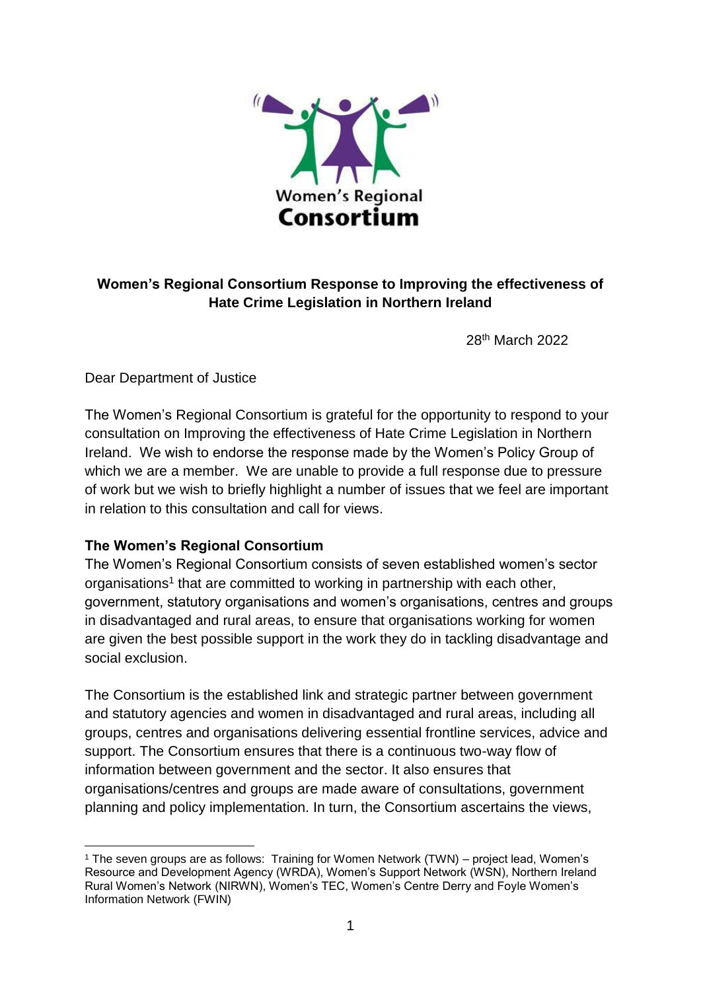

# **Women's Regional Consortium Response to Improving the effectiveness of Hate Crime Legislation in Northern Ireland**

28<sup>th</sup> March 2022

Dear Department of Justice

The Women's Regional Consortium is grateful for the opportunity to respond to your consultation on Improving the effectiveness of Hate Crime Legislation in Northern Ireland. We wish to endorse the response made by the Women's Policy Group of which we are a member. We are unable to provide a full response due to pressure of work but we wish to briefly highlight a number of issues that we feel are important in relation to this consultation and call for views.

# **The Women's Regional Consortium**

The Women's Regional Consortium consists of seven established women's sector organisations<sup>1</sup> that are committed to working in partnership with each other, government, statutory organisations and women's organisations, centres and groups in disadvantaged and rural areas, to ensure that organisations working for women are given the best possible support in the work they do in tackling disadvantage and social exclusion.

The Consortium is the established link and strategic partner between government and statutory agencies and women in disadvantaged and rural areas, including all groups, centres and organisations delivering essential frontline services, advice and support. The Consortium ensures that there is a continuous two-way flow of information between government and the sector. It also ensures that organisations/centres and groups are made aware of consultations, government planning and policy implementation. In turn, the Consortium ascertains the views,

**<sup>.</sup>** <sup>1</sup> The seven groups are as follows: Training for Women Network (TWN) – project lead, Women's Resource and Development Agency (WRDA), Women's Support Network (WSN), Northern Ireland Rural Women's Network (NIRWN), Women's TEC, Women's Centre Derry and Foyle Women's Information Network (FWIN)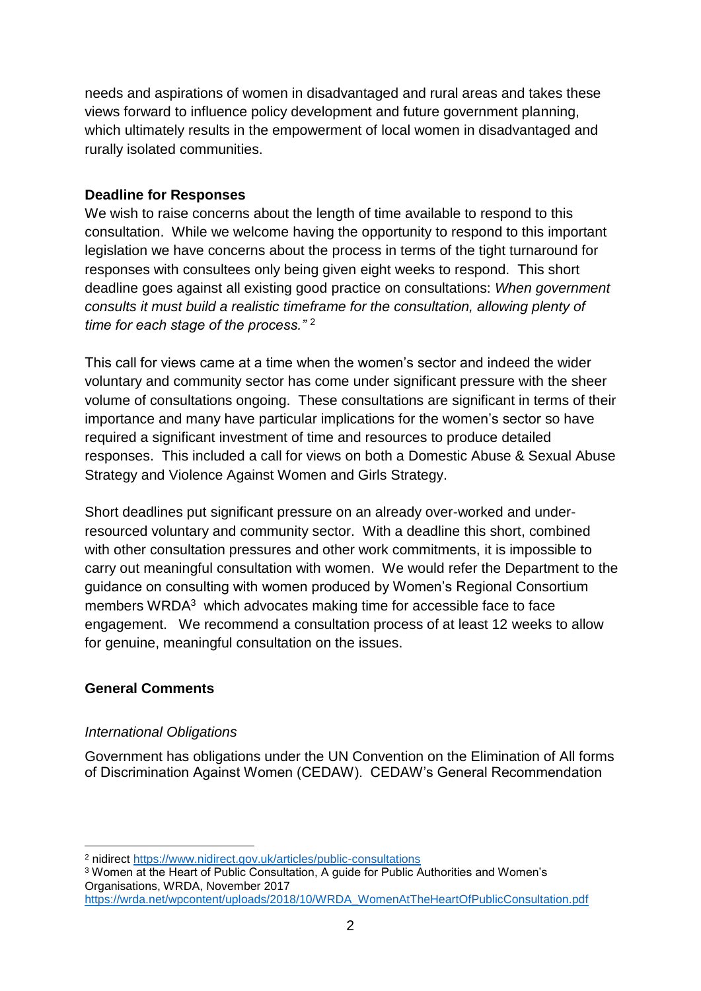needs and aspirations of women in disadvantaged and rural areas and takes these views forward to influence policy development and future government planning, which ultimately results in the empowerment of local women in disadvantaged and rurally isolated communities.

## **Deadline for Responses**

We wish to raise concerns about the length of time available to respond to this consultation. While we welcome having the opportunity to respond to this important legislation we have concerns about the process in terms of the tight turnaround for responses with consultees only being given eight weeks to respond. This short deadline goes against all existing good practice on consultations: *When government consults it must build a realistic timeframe for the consultation, allowing plenty of time for each stage of the process."* <sup>2</sup>

This call for views came at a time when the women's sector and indeed the wider voluntary and community sector has come under significant pressure with the sheer volume of consultations ongoing. These consultations are significant in terms of their importance and many have particular implications for the women's sector so have required a significant investment of time and resources to produce detailed responses. This included a call for views on both a Domestic Abuse & Sexual Abuse Strategy and Violence Against Women and Girls Strategy.

Short deadlines put significant pressure on an already over-worked and underresourced voluntary and community sector. With a deadline this short, combined with other consultation pressures and other work commitments, it is impossible to carry out meaningful consultation with women. We would refer the Department to the guidance on consulting with women produced by Women's Regional Consortium members WRDA<sup>3</sup> which advocates making time for accessible face to face engagement. We recommend a consultation process of at least 12 weeks to allow for genuine, meaningful consultation on the issues.

# **General Comments**

## *International Obligations*

Government has obligations under the UN Convention on the Elimination of All forms of Discrimination Against Women (CEDAW). CEDAW's General Recommendation

```
https://wrda.net/wpcontent/uploads/2018/10/WRDA_WomenAtTheHeartOfPublicConsultation.pdf
```
**<sup>.</sup>** <sup>2</sup> nidirect<https://www.nidirect.gov.uk/articles/public-consultations>

<sup>3</sup> Women at the Heart of Public Consultation, A guide for Public Authorities and Women's Organisations, WRDA, November 2017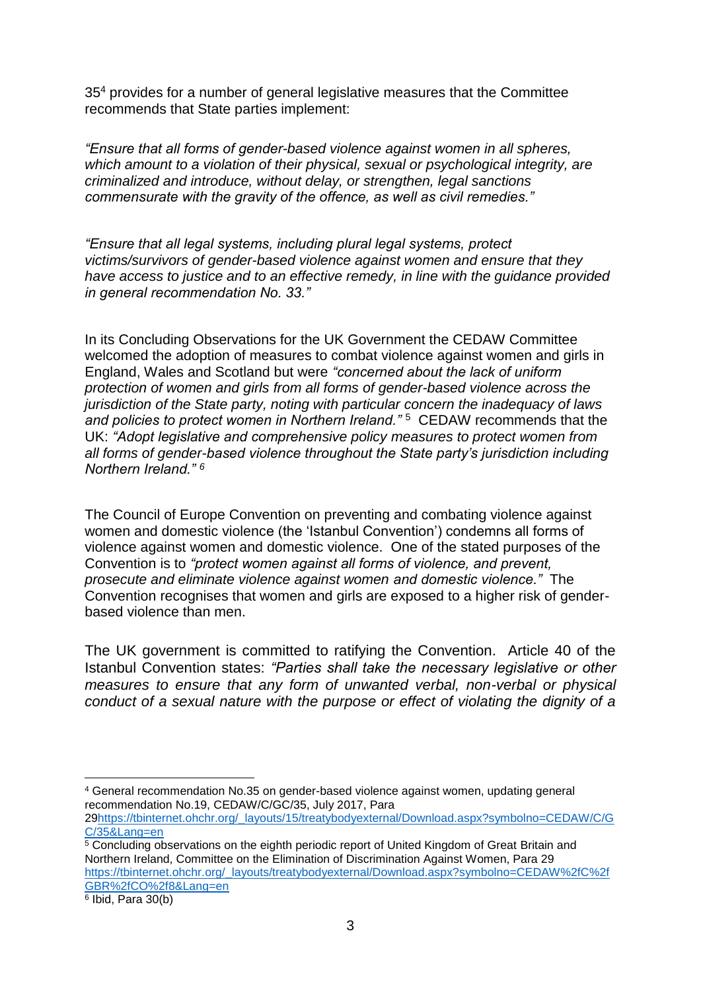35<sup>4</sup> provides for a number of general legislative measures that the Committee recommends that State parties implement:

*"Ensure that all forms of gender-based violence against women in all spheres, which amount to a violation of their physical, sexual or psychological integrity, are criminalized and introduce, without delay, or strengthen, legal sanctions commensurate with the gravity of the offence, as well as civil remedies."*

*"Ensure that all legal systems, including plural legal systems, protect victims/survivors of gender-based violence against women and ensure that they have access to justice and to an effective remedy, in line with the guidance provided in general recommendation No. 33."*

In its Concluding Observations for the UK Government the CEDAW Committee welcomed the adoption of measures to combat violence against women and girls in England, Wales and Scotland but were *"concerned about the lack of uniform protection of women and girls from all forms of gender-based violence across the jurisdiction of the State party, noting with particular concern the inadequacy of laws*  and policies to protect women in Northern Ireland."<sup>5</sup> CEDAW recommends that the UK: *"Adopt legislative and comprehensive policy measures to protect women from all forms of gender-based violence throughout the State party's jurisdiction including Northern Ireland." <sup>6</sup>*

The Council of Europe Convention on preventing and combating violence against women and domestic violence (the 'Istanbul Convention') condemns all forms of violence against women and domestic violence. One of the stated purposes of the Convention is to *"protect women against all forms of violence, and prevent, prosecute and eliminate violence against women and domestic violence."* The Convention recognises that women and girls are exposed to a higher risk of genderbased violence than men.

The UK government is committed to ratifying the Convention. Article 40 of the Istanbul Convention states: *"Parties shall take the necessary legislative or other measures to ensure that any form of unwanted verbal, non-verbal or physical conduct of a sexual nature with the purpose or effect of violating the dignity of a* 

6 Ibid, Para 30(b)

 $\overline{a}$ <sup>4</sup> General recommendation No.35 on gender-based violence against women, updating general recommendation No.19, CEDAW/C/GC/35, July 2017, Para

<sup>2</sup>[9https://tbinternet.ohchr.org/\\_layouts/15/treatybodyexternal/Download.aspx?symbolno=CEDAW/C/G](https://tbinternet.ohchr.org/_layouts/15/treatybodyexternal/Download.aspx?symbolno=CEDAW/C/GC/35&Lang=en) [C/35&Lang=en](https://tbinternet.ohchr.org/_layouts/15/treatybodyexternal/Download.aspx?symbolno=CEDAW/C/GC/35&Lang=en)

 $\frac{5}{5}$  Concluding observations on the eighth periodic report of United Kingdom of Great Britain and Northern Ireland, Committee on the Elimination of Discrimination Against Women, Para 29 [https://tbinternet.ohchr.org/\\_layouts/treatybodyexternal/Download.aspx?symbolno=CEDAW%2fC%2f](https://tbinternet.ohchr.org/_layouts/treatybodyexternal/Download.aspx?symbolno=CEDAW%2fC%2fGBR%2fCO%2f8&Lang=en) [GBR%2fCO%2f8&Lang=en](https://tbinternet.ohchr.org/_layouts/treatybodyexternal/Download.aspx?symbolno=CEDAW%2fC%2fGBR%2fCO%2f8&Lang=en)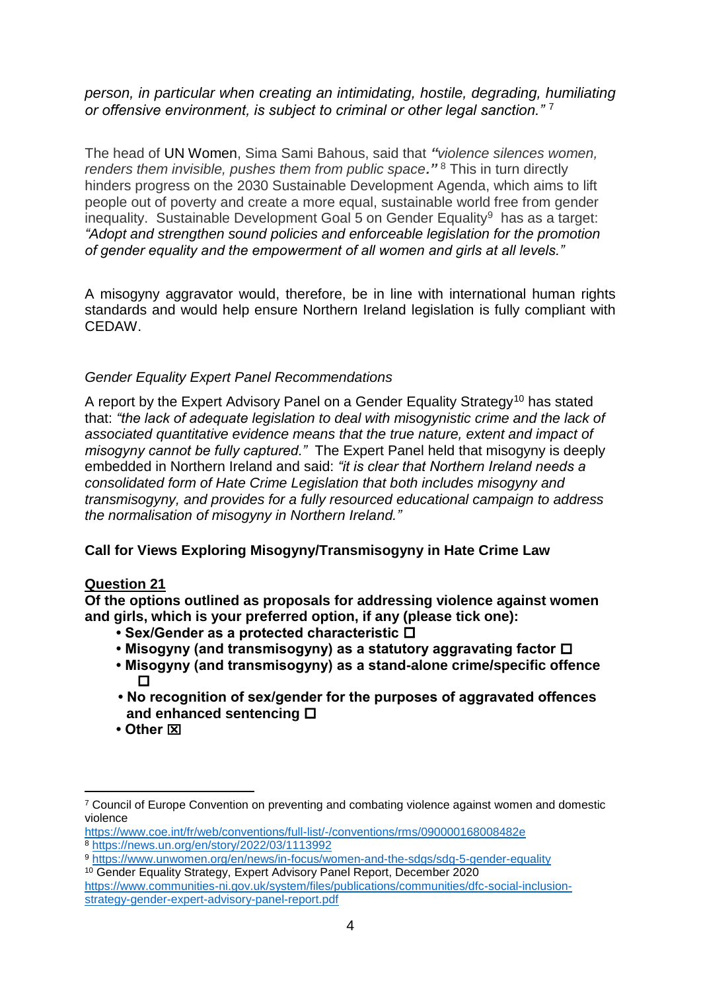## *person, in particular when creating an intimidating, hostile, degrading, humiliating or offensive environment, is subject to criminal or other legal sanction."* <sup>7</sup>

The head of UN Women, Sima Sami Bahous, said that *"violence silences women, renders them invisible, pushes them from public space."* <sup>8</sup> This in turn directly hinders progress on the 2030 Sustainable Development Agenda, which aims to lift people out of poverty and create a more equal, sustainable world free from gender inequality. Sustainable Development Goal 5 on Gender Equality<sup>9</sup> has as a target: *"Adopt and strengthen sound policies and enforceable legislation for the promotion of gender equality and the empowerment of all women and girls at all levels."*

A misogyny aggravator would, therefore, be in line with international human rights standards and would help ensure Northern Ireland legislation is fully compliant with CEDAW.

### *Gender Equality Expert Panel Recommendations*

A report by the Expert Advisory Panel on a Gender Equality Strategy<sup>10</sup> has stated that: *"the lack of adequate legislation to deal with misogynistic crime and the lack of associated quantitative evidence means that the true nature, extent and impact of misogyny cannot be fully captured."* The Expert Panel held that misogyny is deeply embedded in Northern Ireland and said: *"it is clear that Northern Ireland needs a consolidated form of Hate Crime Legislation that both includes misogyny and transmisogyny, and provides for a fully resourced educational campaign to address the normalisation of misogyny in Northern Ireland."*

## **Call for Views Exploring Misogyny/Transmisogyny in Hate Crime Law**

#### **Question 21**

**Of the options outlined as proposals for addressing violence against women and girls, which is your preferred option, if any (please tick one):** 

- **Sex/Gender as a protected characteristic**
- **Misogyny (and transmisogyny) as a statutory aggravating factor**
- **Misogyny (and transmisogyny) as a stand-alone crime/specific offence**   $\Box$
- **No recognition of sex/gender for the purposes of aggravated offences and enhanced sentencing**
- **Other**

**.** 

<sup>7</sup> Council of Europe Convention on preventing and combating violence against women and domestic violence

<https://www.coe.int/fr/web/conventions/full-list/-/conventions/rms/090000168008482e> <sup>8</sup> <https://news.un.org/en/story/2022/03/1113992>

<sup>9</sup> <https://www.unwomen.org/en/news/in-focus/women-and-the-sdgs/sdg-5-gender-equality>

<sup>10</sup> Gender Equality Strategy, Expert Advisory Panel Report, December 2020 [https://www.communities-ni.gov.uk/system/files/publications/communities/dfc-social-inclusion](https://www.communities-ni.gov.uk/system/files/publications/communities/dfc-social-inclusion-strategy-gender-expert-advisory-panel-report.pdf)[strategy-gender-expert-advisory-panel-report.pdf](https://www.communities-ni.gov.uk/system/files/publications/communities/dfc-social-inclusion-strategy-gender-expert-advisory-panel-report.pdf)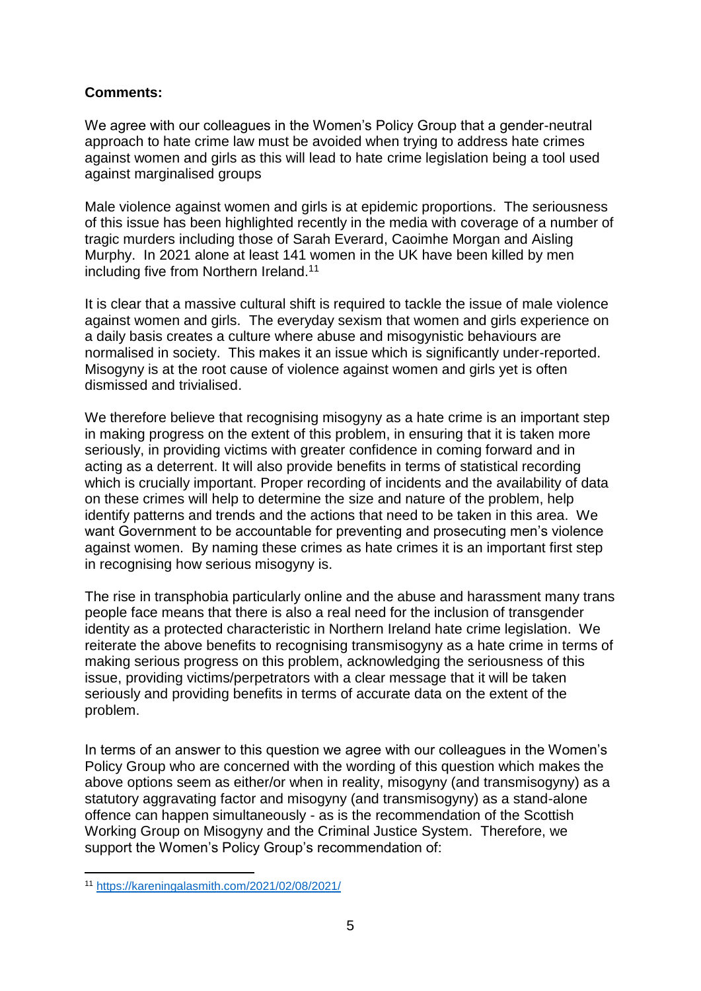## **Comments:**

We agree with our colleagues in the Women's Policy Group that a gender-neutral approach to hate crime law must be avoided when trying to address hate crimes against women and girls as this will lead to hate crime legislation being a tool used against marginalised groups

Male violence against women and girls is at epidemic proportions. The seriousness of this issue has been highlighted recently in the media with coverage of a number of tragic murders including those of Sarah Everard, Caoimhe Morgan and Aisling Murphy. In 2021 alone at least 141 women in the UK have been killed by men including five from Northern Ireland.<sup>11</sup>

It is clear that a massive cultural shift is required to tackle the issue of male violence against women and girls. The everyday sexism that women and girls experience on a daily basis creates a culture where abuse and misogynistic behaviours are normalised in society. This makes it an issue which is significantly under-reported. Misogyny is at the root cause of violence against women and girls yet is often dismissed and trivialised.

We therefore believe that recognising misogyny as a hate crime is an important step in making progress on the extent of this problem, in ensuring that it is taken more seriously, in providing victims with greater confidence in coming forward and in acting as a deterrent. It will also provide benefits in terms of statistical recording which is crucially important. Proper recording of incidents and the availability of data on these crimes will help to determine the size and nature of the problem, help identify patterns and trends and the actions that need to be taken in this area. We want Government to be accountable for preventing and prosecuting men's violence against women. By naming these crimes as hate crimes it is an important first step in recognising how serious misogyny is.

The rise in transphobia particularly online and the abuse and harassment many trans people face means that there is also a real need for the inclusion of transgender identity as a protected characteristic in Northern Ireland hate crime legislation. We reiterate the above benefits to recognising transmisogyny as a hate crime in terms of making serious progress on this problem, acknowledging the seriousness of this issue, providing victims/perpetrators with a clear message that it will be taken seriously and providing benefits in terms of accurate data on the extent of the problem.

In terms of an answer to this question we agree with our colleagues in the Women's Policy Group who are concerned with the wording of this question which makes the above options seem as either/or when in reality, misogyny (and transmisogyny) as a statutory aggravating factor and misogyny (and transmisogyny) as a stand-alone offence can happen simultaneously - as is the recommendation of the Scottish Working Group on Misogyny and the Criminal Justice System. Therefore, we support the Women's Policy Group's recommendation of:

**<sup>.</sup>** <sup>11</sup> <https://kareningalasmith.com/2021/02/08/2021/>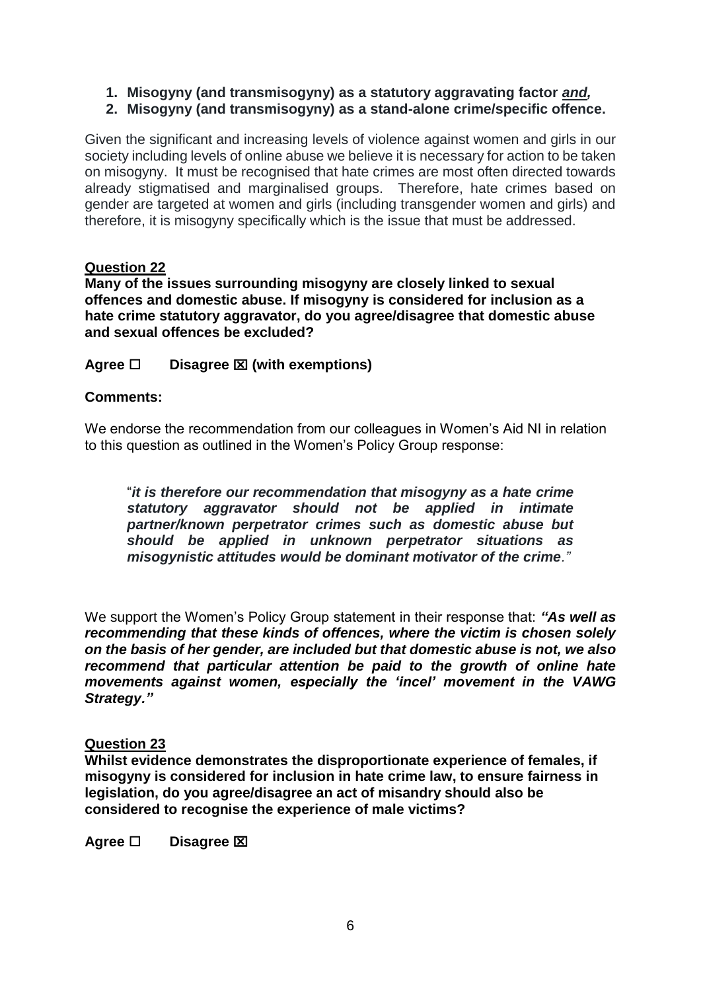- **1. Misogyny (and transmisogyny) as a statutory aggravating factor** *and,*
- **2. Misogyny (and transmisogyny) as a stand-alone crime/specific offence.**

Given the significant and increasing levels of violence against women and girls in our society including levels of online abuse we believe it is necessary for action to be taken on misogyny. It must be recognised that hate crimes are most often directed towards already stigmatised and marginalised groups. Therefore, hate crimes based on gender are targeted at women and girls (including transgender women and girls) and therefore, it is misogyny specifically which is the issue that must be addressed.

## **Question 22**

**Many of the issues surrounding misogyny are closely linked to sexual offences and domestic abuse. If misogyny is considered for inclusion as a hate crime statutory aggravator, do you agree/disagree that domestic abuse and sexual offences be excluded?** 

**Agree Disagree (with exemptions)**

## **Comments:**

We endorse the recommendation from our colleagues in Women's Aid NI in relation to this question as outlined in the Women's Policy Group response:

"*it is therefore our recommendation that misogyny as a hate crime statutory aggravator should not be applied in intimate partner/known perpetrator crimes such as domestic abuse but should be applied in unknown perpetrator situations as misogynistic attitudes would be dominant motivator of the crime."*

We support the Women's Policy Group statement in their response that: *"As well as recommending that these kinds of offences, where the victim is chosen solely on the basis of her gender, are included but that domestic abuse is not, we also recommend that particular attention be paid to the growth of online hate movements against women, especially the 'incel' movement in the VAWG Strategy."*

#### **Question 23**

**Whilst evidence demonstrates the disproportionate experience of females, if misogyny is considered for inclusion in hate crime law, to ensure fairness in legislation, do you agree/disagree an act of misandry should also be considered to recognise the experience of male victims?** 

**Agree □** Disagree **<b>** $\Xi$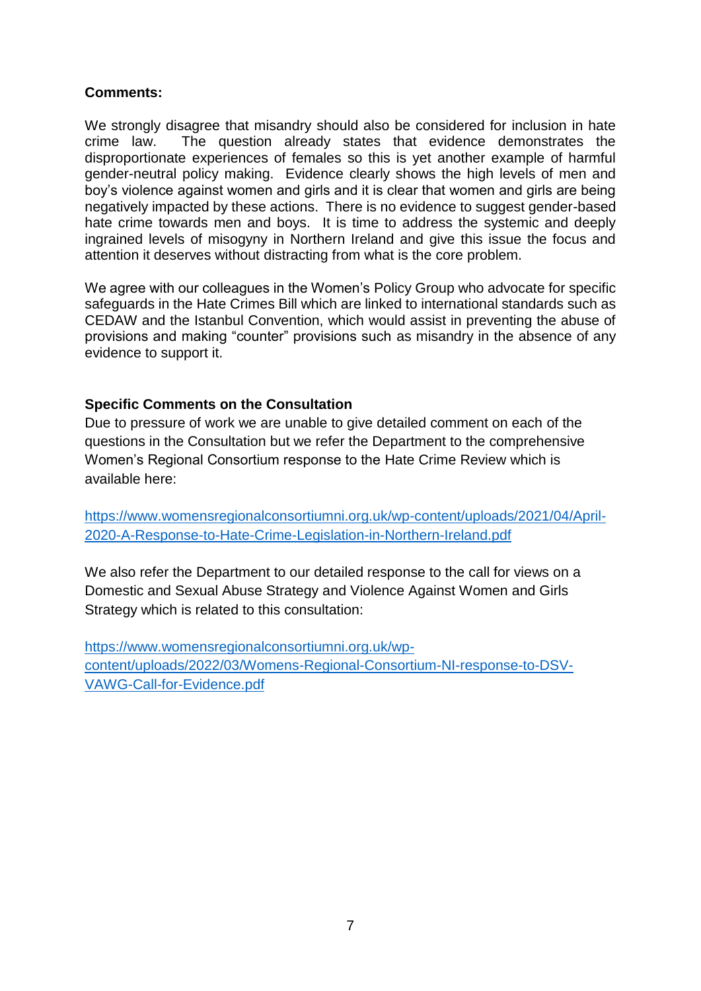### **Comments:**

We strongly disagree that misandry should also be considered for inclusion in hate crime law. The question already states that evidence demonstrates the disproportionate experiences of females so this is yet another example of harmful gender-neutral policy making. Evidence clearly shows the high levels of men and boy's violence against women and girls and it is clear that women and girls are being negatively impacted by these actions. There is no evidence to suggest gender-based hate crime towards men and boys. It is time to address the systemic and deeply ingrained levels of misogyny in Northern Ireland and give this issue the focus and attention it deserves without distracting from what is the core problem.

We agree with our colleagues in the Women's Policy Group who advocate for specific safeguards in the Hate Crimes Bill which are linked to international standards such as CEDAW and the Istanbul Convention, which would assist in preventing the abuse of provisions and making "counter" provisions such as misandry in the absence of any evidence to support it.

### **Specific Comments on the Consultation**

Due to pressure of work we are unable to give detailed comment on each of the questions in the Consultation but we refer the Department to the comprehensive Women's Regional Consortium response to the Hate Crime Review which is available here:

[https://www.womensregionalconsortiumni.org.uk/wp-content/uploads/2021/04/April-](https://www.womensregionalconsortiumni.org.uk/wp-content/uploads/2021/04/April-2020-A-Response-to-Hate-Crime-Legislation-in-Northern-Ireland.pdf)[2020-A-Response-to-Hate-Crime-Legislation-in-Northern-Ireland.pdf](https://www.womensregionalconsortiumni.org.uk/wp-content/uploads/2021/04/April-2020-A-Response-to-Hate-Crime-Legislation-in-Northern-Ireland.pdf)

We also refer the Department to our detailed response to the call for views on a Domestic and Sexual Abuse Strategy and Violence Against Women and Girls Strategy which is related to this consultation:

[https://www.womensregionalconsortiumni.org.uk/wp](https://www.womensregionalconsortiumni.org.uk/wp-content/uploads/2022/03/Womens-Regional-Consortium-NI-response-to-DSV-VAWG-Call-for-Evidence.pdf)[content/uploads/2022/03/Womens-Regional-Consortium-NI-response-to-DSV-](https://www.womensregionalconsortiumni.org.uk/wp-content/uploads/2022/03/Womens-Regional-Consortium-NI-response-to-DSV-VAWG-Call-for-Evidence.pdf)[VAWG-Call-for-Evidence.pdf](https://www.womensregionalconsortiumni.org.uk/wp-content/uploads/2022/03/Womens-Regional-Consortium-NI-response-to-DSV-VAWG-Call-for-Evidence.pdf)